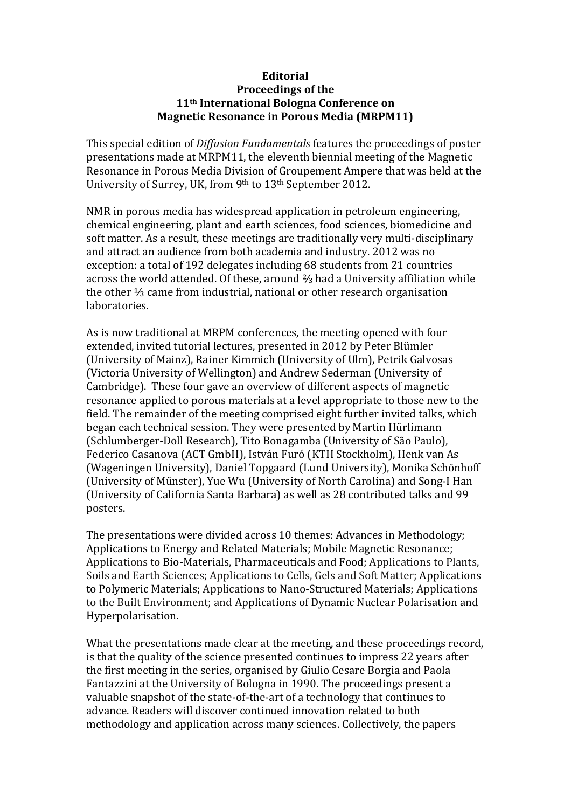## **Editorial Proceedings of the 11th International Bologna Conference on Magnetic Resonance in Porous Media (MRPM11)**

This special edition of *Diffusion Fundamentals* features the proceedings of poster presentations made at MRPM11, the eleventh biennial meeting of the Magnetic Resonance in Porous Media Division of Groupement Ampere that was held at the University of Surrey, UK, from 9th to 13th September 2012.

NMR in porous media has widespread application in petroleum engineering, chemical engineering, plant and earth sciences, food sciences, biomedicine and soft matter. As a result, these meetings are traditionally very multi-disciplinary and attract an audience from both academia and industry. 2012 was no exception: a total of 192 delegates including 68 students from 21 countries across the world attended. Of these, around ⅔ had a University affiliation while the other ⅓ came from industrial, national or other research organisation laboratories.

As is now traditional at MRPM conferences, the meeting opened with four extended, invited tutorial lectures, presented in 2012 by Peter Blümler (University of Mainz), Rainer Kimmich (University of Ulm), Petrik Galvosas (Victoria University of Wellington) and Andrew Sederman (University of Cambridge). These four gave an overview of different aspects of magnetic resonance applied to porous materials at a level appropriate to those new to the field. The remainder of the meeting comprised eight further invited talks, which began each technical session. They were presented by Martin Hürlimann (Schlumberger-Doll Research), Tito Bonagamba (University of São Paulo), Federico Casanova (ACT GmbH), István Furó (KTH Stockholm), Henk van As (Wageningen University), Daniel Topgaard (Lund University), Monika Schönhoff (University of Münster), Yue Wu (University of North Carolina) and Song-I Han (University of California Santa Barbara) as well as 28 contributed talks and 99 posters.

The presentations were divided across 10 themes: Advances in Methodology; Applications to Energy and Related Materials; Mobile Magnetic Resonance; Applications to Bio-Materials, Pharmaceuticals and Food; Applications to Plants, Soils and Earth Sciences; Applications to Cells, Gels and Soft Matter; Applications to Polymeric Materials; Applications to Nano-Structured Materials; Applications to the Built Environment; and Applications of Dynamic Nuclear Polarisation and Hyperpolarisation.

What the presentations made clear at the meeting, and these proceedings record, is that the quality of the science presented continues to impress 22 years after the first meeting in the series, organised by Giulio Cesare Borgia and Paola Fantazzini at the University of Bologna in 1990. The proceedings present a valuable snapshot of the state-of-the-art of a technology that continues to advance. Readers will discover continued innovation related to both methodology and application across many sciences. Collectively, the papers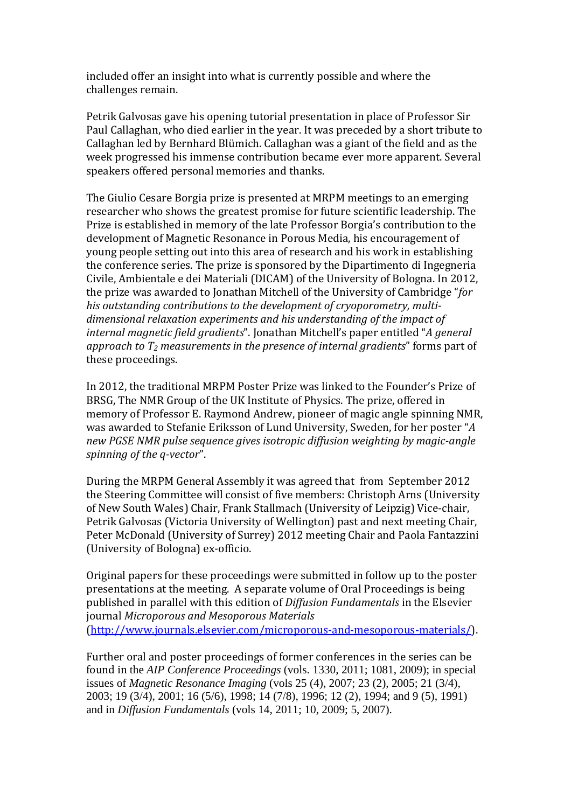included offer an insight into what is currently possible and where the challenges remain.

Petrik Galvosas gave his opening tutorial presentation in place of Professor Sir Paul Callaghan, who died earlier in the year. It was preceded by a short tribute to Callaghan led by Bernhard Blümich. Callaghan was a giant of the field and as the week progressed his immense contribution became ever more apparent. Several speakers offered personal memories and thanks.

The Giulio Cesare Borgia prize is presented at MRPM meetings to an emerging researcher who shows the greatest promise for future scientific leadership. The Prize is established in memory of the late Professor Borgia's contribution to the development of Magnetic Resonance in Porous Media, his encouragement of young people setting out into this area of research and his work in establishing the conference series. The prize is sponsored by the Dipartimento di Ingegneria Civile, Ambientale e dei Materiali (DICAM) of the University of Bologna. In 2012, the prize was awarded to Jonathan Mitchell of the University of Cambridge "*for his outstanding contributions to the development of cryoporometry, multidimensional relaxation experiments and his understanding of the impact of internal magnetic field gradients*". Jonathan Mitchell's paper entitled "*A general approach to T2 measurements in the presence of internal gradients*" forms part of these proceedings.

In 2012, the traditional MRPM Poster Prize was linked to the Founder's Prize of BRSG, The NMR Group of the UK Institute of Physics. The prize, offered in memory of Professor E. Raymond Andrew, pioneer of magic angle spinning NMR, was awarded to Stefanie Eriksson of Lund University, Sweden, for her poster "*A new PGSE NMR pulse sequence gives isotropic diffusion weighting by magic-angle spinning of the q-vector*".

During the MRPM General Assembly it was agreed that from September 2012 the Steering Committee will consist of five members: Christoph Arns (University of New South Wales) Chair, Frank Stallmach (University of Leipzig) Vice-chair, Petrik Galvosas (Victoria University of Wellington) past and next meeting Chair, Peter McDonald (University of Surrey) 2012 meeting Chair and Paola Fantazzini (University of Bologna) ex-officio.

Original papers for these proceedings were submitted in follow up to the poster presentations at the meeting. A separate volume of Oral Proceedings is being published in parallel with this edition of *Diffusion Fundamentals* in the Elsevier journal *Microporous and Mesoporous Materials* [\(http://www.journals.elsevier.com/microporous-and-mesoporous-materials/\)](http://www.journals.elsevier.com/microporous-and-mesoporous-materials/).

Further oral and poster proceedings of former conferences in the series can be found in the *AIP Conference Proceedings* (vols. 1330, 2011; 1081, 2009); in special issues of *Magnetic Resonance Imaging* (vols 25 (4), 2007; 23 (2), 2005; 21 (3/4), 2003; 19 (3/4), 2001; 16 (5/6), 1998; 14 (7/8), 1996; 12 (2), 1994; and 9 (5), 1991) and in *Diffusion Fundamentals* (vols 14, 2011; 10, 2009; 5, 2007).